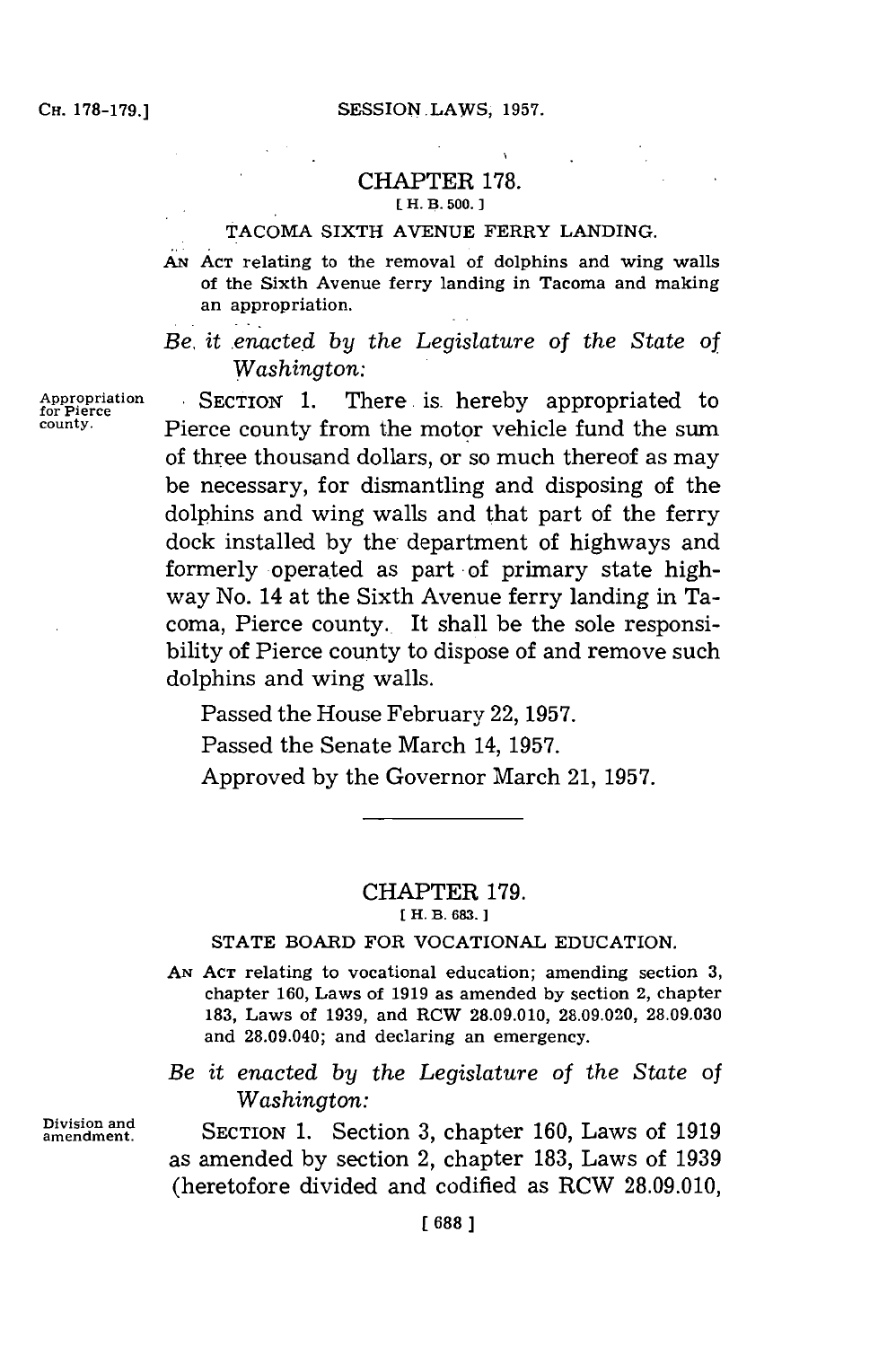#### CHAPTER **178. E H. B. 500. 1**

#### **TACOMA** SIXTH **AVENUE** FERRY LANDING.

**AN ACT** relating to the removal of dolphins and wing walls of the Sixth Avenue ferry landing in Tacoma and making an appropriation.

*Be, it enacted by the Legislature of the State of Washington:*

**for Pierce**

**Division and**

SECTION 1. There is hereby appropriated to Pierce county from the motor vehicle fund the sum of three thousand dollars, or so much thereof as may be necessary, for dismantling and disposing of the dolphins and wing walls and that part of the ferry dock installed **by** the- department of highways and formerly operated as part of primary state highway No. 14 at the Sixth Avenue ferry landing in Tacoma, Pierce county.. It shall be the sole responsibility of Pierce county to dispose of and remove such dolphins and wing walls.

Passed the House February 22, **1957.**

Passed the Senate March 14, **1957.**

Approved **by** the Governor March 21, **1957.**

# CHAPTER **179.**

**[ H. B. 683. ]**

## **STATE** BOARD FOR **VOCATIONAL EDUCATION.**

**AN ACT** relating to vocational education; amending section **3,** chapter **160,** Laws of **1919** as amended **by** section 2, chapter **183.** Laws of **1939,** and RCW **28.09.010, 28.09.020, 28.09.030** and 28.09.040; and declaring an emergency.

*Be it enacted by the Legislature of the State of Washington:*

**SECTION 1.** Section 3, chapter 160, Laws of 1919 as amended **by** section 2, chapter **183,** Laws of **1939** (heretofore divided and codified as RCW **28.09.010,**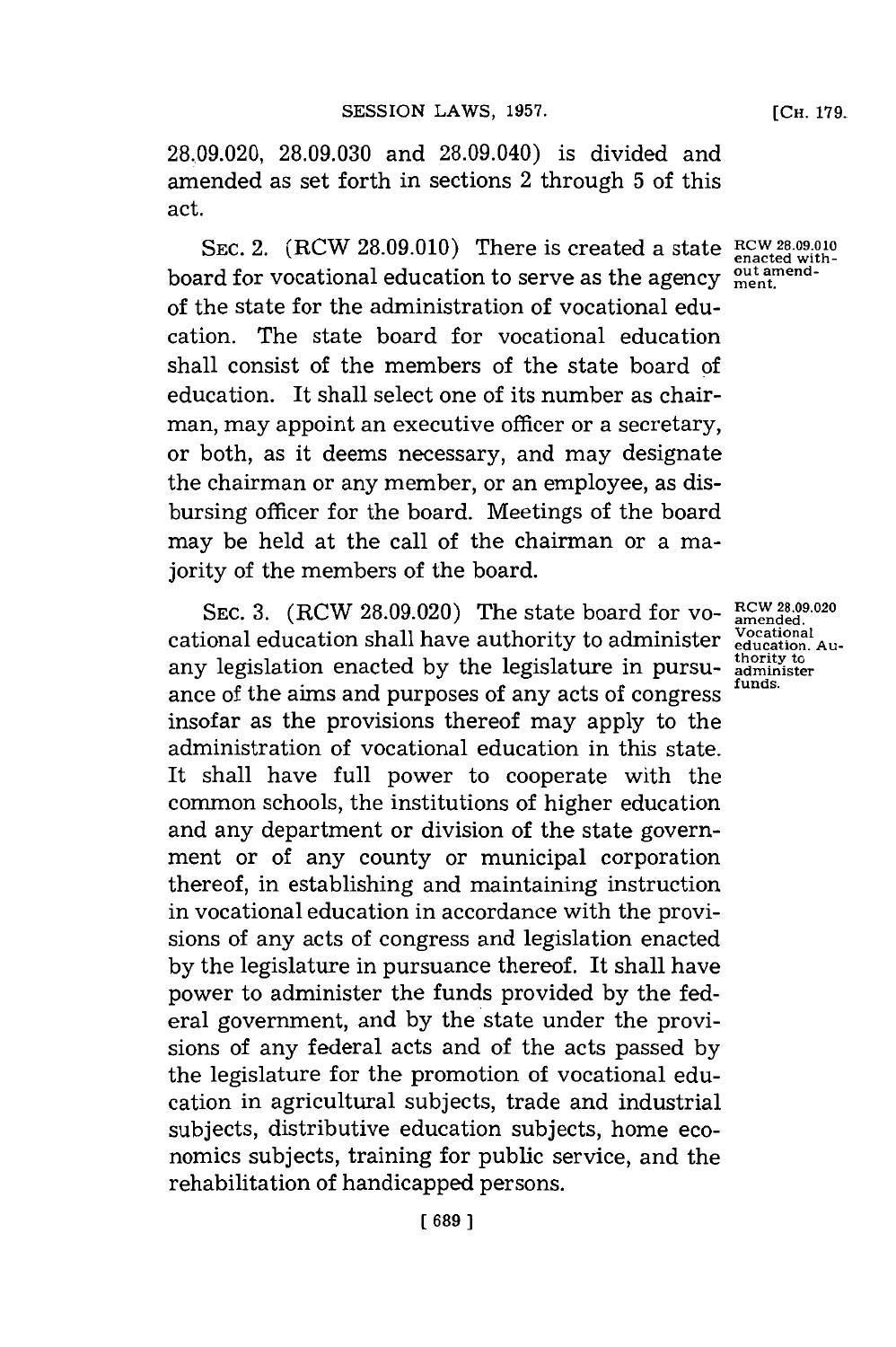**[CH. 179.**

**28.09.020, 28.09.030** and 28.09.040) is divided and amended as set forth in sections 2 through **5** of this act.

SEC. 2.  $(RCW 28.09.010)$  There is created a state  $RCW 28.09.010$ board for vocational education to serve as the agency **out amend-ment.** of the state for the administration of vocational education. The state board for vocational education shall consist of the members of the state board of education. It shall select one of its number as chairman, may appoint an executive officer or a secretary, or both, as it deems necessary, and may designate the chairman or any member, or an employee, as disbursing officer for the board. Meetings of the board may be held at the call of the chairman or a majority of the members of the board.

SEC. 3. (RCW 28.09.020) The state board for vo-  $R^{CW}$  28.09.020 cational education shall have authority to administer **Vocational education, Au**any legislation enacted **by** the legislature in pursuance of the aims and purposes of any acts of congress insofar as the provisions thereof may apply to the administration of vocational education in this state. It shall have full power to cooperate with the common schools, the institutions of higher education and any department or division of the state government or of any county or municipal corporation thereof, in establishing and maintaining instruction in vocational education in accordance with the provisions of any acts of congress and legislation enacted **by** the legislature in pursuance thereof. It shall have power to administer the funds provided **by** the federal government, and **by** the state under the provisions of any federal acts and of the acts passed **by** the legislature for the promotion of vocational education in agricultural subjects, trade and industrial subjects, distributive education subjects, home economics subjects, training for public service, and the rehabilitation of handicapped persons.

**enacted with-**

**thority to administer funds.**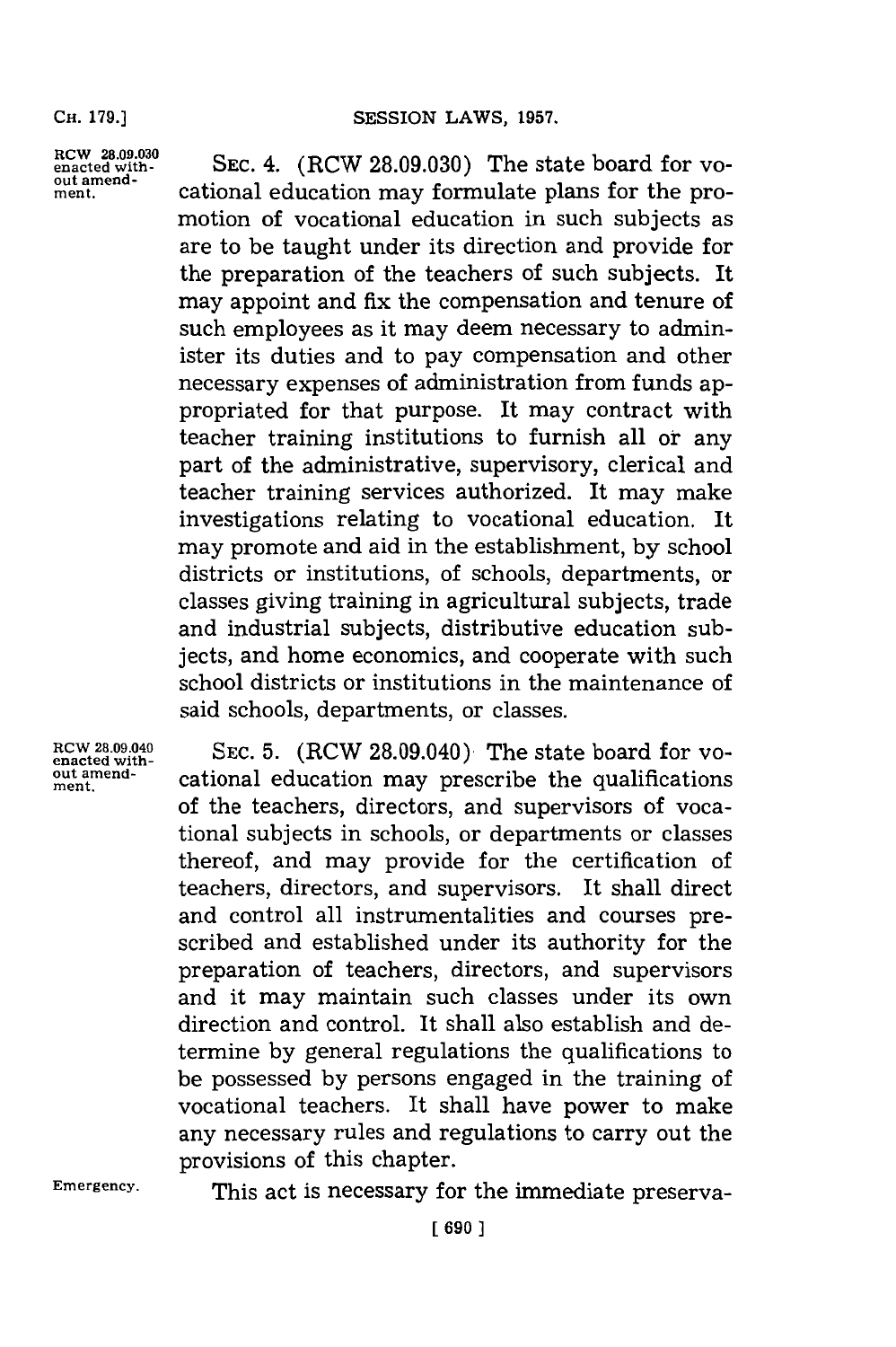**RCW 28.09.030 enacted without amendment.**

**SEC.** 4. (RCW **28.09.030)** The state board for vocational education may formulate plans for the promotion of vocational education in such subjects as are to be taught under its direction and provide for the preparation of the teachers of such subjects. It may appoint and fix the compensation and tenure of such employees as it may deem necessary to administer its duties and to pay compensation and other necessary expenses of administration from funds appropriated for that purpose. It may contract with teacher training institutions to furnish all or any part of the administrative, supervisory, clerical and teacher training services authorized. It may make investigations relating to vocational education. It may promote and aid in the establishment, **by** school districts or institutions, of schools, departments, or classes giving training in agricultural subjects, trade and industrial subjects, distributive education subjects, and home economics, and cooperate with such school districts or institutions in the maintenance of said schools, departments, or classes.

**RCW 28.09.040 enacted with - out amendment.**

**SEC. 5.** (RCW 28.09.040) The state board for vocational education may prescribe the qualifications of the teachers, directors, and supervisors of vocational subjects in schools, or departments or classes thereof, and may provide for the certification of teachers, directors, and supervisors. It shall direct and control all instrumentalities and courses prescribed and established under its authority for the preparation of teachers, directors, and supervisors and it may maintain such classes under its own direction and control. It shall also establish and determine **by** general regulations the qualifications to be possessed **by** persons engaged in the training of vocational teachers. It shall have power to make any necessary rules and regulations to carry out the provisions of this chapter.

**Emergency.**

This act is necessary for the immediate preserva-